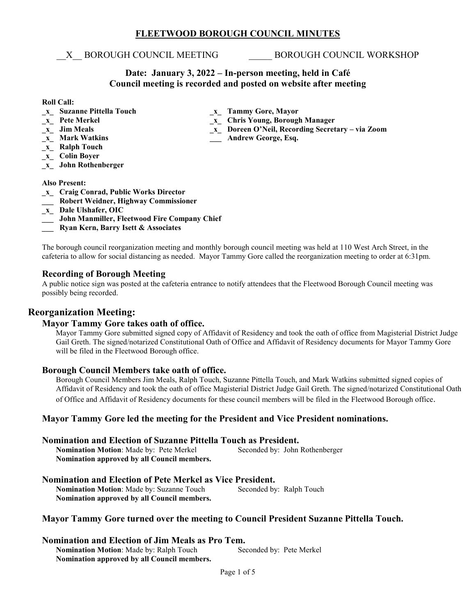# **FLEETWOOD BOROUGH COUNCIL MINUTES**

\_\_X\_\_ BOROUGH COUNCIL MEETING \_\_\_\_\_ BOROUGH COUNCIL WORKSHOP

# **Date: January 3, 2022 – In-person meeting, held in Café Council meeting is recorded and posted on website after meeting**

**\_x\_ Mark Watkins \_\_\_ Andrew George, Esq.** 

### **Roll Call:**

- **\_x\_ Suzanne Pittella Touch \_x\_ Tammy Gore, Mayor**
- **\_x\_ Pete Merkel \_x\_ Chris Young, Borough Manager**
- 
- **\_x\_ Jim Meals \_x\_ Doreen O'Neil, Recording Secretary – via Zoom**
- **\_x\_ Ralph Touch**
- **\_x\_ Colin Boyer**
- **\_x\_ John Rothenberger**

#### **Also Present:**

- **\_x\_ Craig Conrad, Public Works Director**
- **\_\_\_ Robert Weidner, Highway Commissioner**
- **\_x\_ Dale Ulshafer, OIC**
- **\_\_\_ John Manmiller, Fleetwood Fire Company Chief**
- **\_\_\_ Ryan Kern, Barry Isett & Associates**

The borough council reorganization meeting and monthly borough council meeting was held at 110 West Arch Street, in the cafeteria to allow for social distancing as needed. Mayor Tammy Gore called the reorganization meeting to order at 6:31pm.

# **Recording of Borough Meeting**

A public notice sign was posted at the cafeteria entrance to notify attendees that the Fleetwood Borough Council meeting was possibly being recorded.

# **Reorganization Meeting:**

## **Mayor Tammy Gore takes oath of office.**

Mayor Tammy Gore submitted signed copy of Affidavit of Residency and took the oath of office from Magisterial District Judge Gail Greth. The signed/notarized Constitutional Oath of Office and Affidavit of Residency documents for Mayor Tammy Gore will be filed in the Fleetwood Borough office.

## **Borough Council Members take oath of office.**

Borough Council Members Jim Meals, Ralph Touch, Suzanne Pittella Touch, and Mark Watkins submitted signed copies of Affidavit of Residency and took the oath of office Magisterial District Judge Gail Greth. The signed/notarized Constitutional Oath of Office and Affidavit of Residency documents for these council members will be filed in the Fleetwood Borough office.

# **Mayor Tammy Gore led the meeting for the President and Vice President nominations.**

## **Nomination and Election of Suzanne Pittella Touch as President.**

**Nomination Motion**: Made by: Pete Merkel Seconded by: John Rothenberger **Nomination approved by all Council members.** 

# **Nomination and Election of Pete Merkel as Vice President.**

**Nomination Motion:** Made by: Suzanne Touch Seconded by: Ralph Touch **Nomination approved by all Council members.** 

# **Mayor Tammy Gore turned over the meeting to Council President Suzanne Pittella Touch.**

## **Nomination and Election of Jim Meals as Pro Tem.**

**Nomination Motion:** Made by: Ralph Touch Seconded by: Pete Merkel **Nomination approved by all Council members.**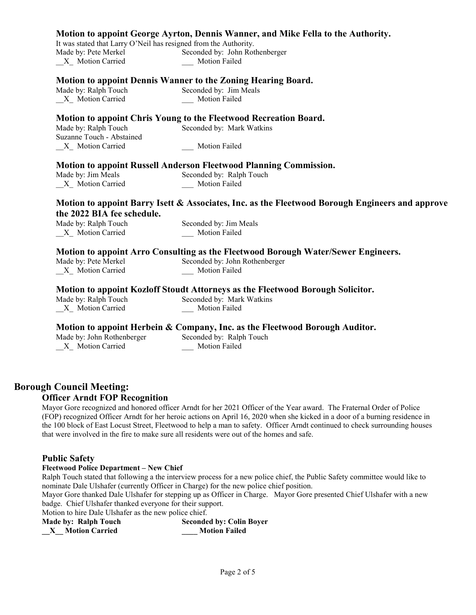|                                                                        | Motion to appoint George Ayrton, Dennis Wanner, and Mike Fella to the Authority.                                                                  |
|------------------------------------------------------------------------|---------------------------------------------------------------------------------------------------------------------------------------------------|
| It was stated that Larry O'Neil has resigned from the Authority.       |                                                                                                                                                   |
| Made by: Pete Merkel                                                   | Seconded by: John Rothenberger                                                                                                                    |
| X Motion Carried                                                       | Motion Failed                                                                                                                                     |
|                                                                        | <b>Motion to appoint Dennis Wanner to the Zoning Hearing Board.</b>                                                                               |
| Made by: Ralph Touch                                                   | Seconded by: Jim Meals                                                                                                                            |
| X Motion Carried                                                       | Motion Failed                                                                                                                                     |
|                                                                        | Motion to appoint Chris Young to the Fleetwood Recreation Board.                                                                                  |
| Made by: Ralph Touch                                                   | Seconded by: Mark Watkins                                                                                                                         |
| Suzanne Touch - Abstained                                              |                                                                                                                                                   |
| X Motion Carried                                                       | Motion Failed                                                                                                                                     |
|                                                                        | <b>Motion to appoint Russell Anderson Fleetwood Planning Commission.</b>                                                                          |
| Made by: Jim Meals                                                     | Seconded by: Ralph Touch                                                                                                                          |
| X Motion Carried                                                       | Motion Failed                                                                                                                                     |
| the 2022 BIA fee schedule.<br>Made by: Ralph Touch<br>X Motion Carried | Motion to appoint Barry Isett & Associates, Inc. as the Fleetwood Borough Engineers and approve<br>Seconded by: Jim Meals<br><b>Motion Failed</b> |
|                                                                        | <b>Motion to appoint Arro Consulting as the Fleetwood Borough Water/Sewer Engineers.</b>                                                          |
| Made by: Pete Merkel                                                   | Seconded by: John Rothenberger                                                                                                                    |
| X Motion Carried                                                       | Motion Failed                                                                                                                                     |
|                                                                        | Motion to appoint Kozloff Stoudt Attorneys as the Fleetwood Borough Solicitor.                                                                    |
| Made by: Ralph Touch                                                   | Seconded by: Mark Watkins                                                                                                                         |
| $X_$ Motion Carried                                                    | Motion Failed                                                                                                                                     |
|                                                                        | Motion to appoint Herbein & Company, Inc. as the Fleetwood Borough Auditor.                                                                       |
| Made by: John Rothenberger                                             | Seconded by: Ralph Touch                                                                                                                          |
| X Motion Carried                                                       | Motion Failed                                                                                                                                     |
|                                                                        |                                                                                                                                                   |

# **Borough Council Meeting:**

# **Officer Arndt FOP Recognition**

Mayor Gore recognized and honored officer Arndt for her 2021 Officer of the Year award. The Fraternal Order of Police (FOP) recognized Officer Arndt for her heroic actions on April 16, 2020 when she kicked in a door of a burning residence in the 100 block of East Locust Street, Fleetwood to help a man to safety. Officer Arndt continued to check surrounding houses that were involved in the fire to make sure all residents were out of the homes and safe.

## **Public Safety**

#### **Fleetwood Police Department – New Chief**

Ralph Touch stated that following a the interview process for a new police chief, the Public Safety committee would like to nominate Dale Ulshafer (currently Officer in Charge) for the new police chief position.

Mayor Gore thanked Dale Ulshafer for stepping up as Officer in Charge. Mayor Gore presented Chief Ulshafer with a new badge. Chief Ulshafer thanked everyone for their support.

Motion to hire Dale Ulshafer as the new police chief.

| <b>Made by: Ralph Touch</b> | <b>Seconded by: Colin Boyer</b> |
|-----------------------------|---------------------------------|
| <b>Motion Carried</b>       | <b>Motion Failed</b>            |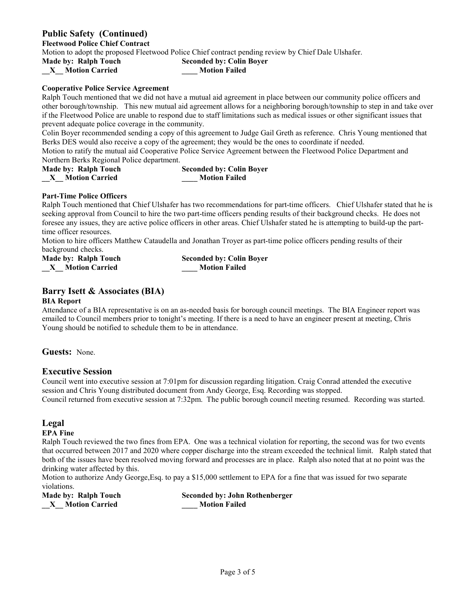**Public Safety (Continued)**

**Fleetwood Police Chief Contract**

Motion to adopt the proposed Fleetwood Police Chief contract pending review by Chief Dale Ulshafer.

**Made by: Ralph Touch Seconded by: Colin Boyer**

**\_\_X\_\_ Motion Carried \_\_\_\_ Motion Failed**

#### **Cooperative Police Service Agreement**

Ralph Touch mentioned that we did not have a mutual aid agreement in place between our community police officers and other borough/township. This new mutual aid agreement allows for a neighboring borough/township to step in and take over if the Fleetwood Police are unable to respond due to staff limitations such as medical issues or other significant issues that prevent adequate police coverage in the community.

Colin Boyer recommended sending a copy of this agreement to Judge Gail Greth as reference. Chris Young mentioned that Berks DES would also receive a copy of the agreement; they would be the ones to coordinate if needed.

Motion to ratify the mutual aid Cooperative Police Service Agreement between the Fleetwood Police Department and Northern Berks Regional Police department.

| Made by: Ralph Touch  | <b>Seconded by: Colin Boyer</b> |
|-----------------------|---------------------------------|
| <b>Motion Carried</b> | <b>Motion Failed</b>            |

#### **Part-Time Police Officers**

Ralph Touch mentioned that Chief Ulshafer has two recommendations for part-time officers. Chief Ulshafer stated that he is seeking approval from Council to hire the two part-time officers pending results of their background checks. He does not foresee any issues, they are active police officers in other areas. Chief Ulshafer stated he is attempting to build-up the parttime officer resources.

Motion to hire officers Matthew Cataudella and Jonathan Troyer as part-time police officers pending results of their background checks.

**Made by: Ralph Touch Seconded by: Colin Boyer \_\_X\_\_ Motion Carried \_\_\_\_ Motion Failed**

# **Barry Isett & Associates (BIA)**

#### **BIA Report**

Attendance of a BIA representative is on an as-needed basis for borough council meetings. The BIA Engineer report was emailed to Council members prior to tonight's meeting. If there is a need to have an engineer present at meeting, Chris Young should be notified to schedule them to be in attendance.

**Guests:** None.

## **Executive Session**

Council went into executive session at 7:01pm for discussion regarding litigation. Craig Conrad attended the executive session and Chris Young distributed document from Andy George, Esq. Recording was stopped. Council returned from executive session at 7:32pm. The public borough council meeting resumed. Recording was started.

# **Legal**

### **EPA Fine**

Ralph Touch reviewed the two fines from EPA. One was a technical violation for reporting, the second was for two events that occurred between 2017 and 2020 where copper discharge into the stream exceeded the technical limit. Ralph stated that both of the issues have been resolved moving forward and processes are in place. Ralph also noted that at no point was the drinking water affected by this.

Motion to authorize Andy George,Esq. to pay a \$15,000 settlement to EPA for a fine that was issued for two separate violations.

**\_\_X\_\_ Motion Carried \_\_\_\_ Motion Failed**

**Made by: Ralph Touch Seconded by: John Rothenberger**<br> **X\_Motion Carried Motion Failed**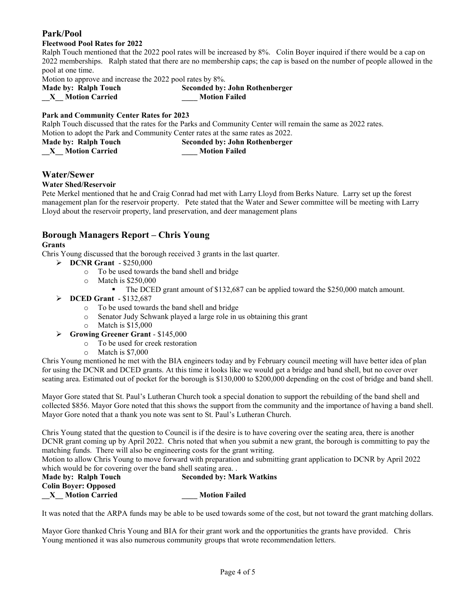# **Park/Pool**

## **Fleetwood Pool Rates for 2022**

Ralph Touch mentioned that the 2022 pool rates will be increased by 8%. Colin Boyer inquired if there would be a cap on 2022 memberships. Ralph stated that there are no membership caps; the cap is based on the number of people allowed in the pool at one time.

Motion to approve and increase the 2022 pool rates by 8%.

| Made by: Ralph Touch  | Seconded by: John 1  |
|-----------------------|----------------------|
| <b>Motion Carried</b> | <b>Motion Failed</b> |

**Seconded by: John Rothenberger** 

# **Park and Community Center Rates for 2023**

Ralph Touch discussed that the rates for the Parks and Community Center will remain the same as 2022 rates. Motion to adopt the Park and Community Center rates at the same rates as 2022.

**Made by: Ralph Touch Seconded by: John Rothenberger**

**\_\_X\_\_ Motion Carried \_\_\_\_ Motion Failed**

# **Water/Sewer**

## **Water Shed/Reservoir**

Pete Merkel mentioned that he and Craig Conrad had met with Larry Lloyd from Berks Nature. Larry set up the forest management plan for the reservoir property. Pete stated that the Water and Sewer committee will be meeting with Larry Lloyd about the reservoir property, land preservation, and deer management plans

# **Borough Managers Report – Chris Young**

## **Grants**

Chris Young discussed that the borough received 3 grants in the last quarter.

- **DCNR Grant**  \$250,000
	- o To be used towards the band shell and bridge
	- o Match is \$250,000
		- The DCED grant amount of \$132,687 can be applied toward the \$250,000 match amount.
- **DCED Grant**  \$132,687
	- o To be used towards the band shell and bridge
	- o Senator Judy Schwank played a large role in us obtaining this grant
	- o Match is \$15,000
- **Growing Greener Grant** \$145,000
	- o To be used for creek restoration
	- o Match is \$7,000

Chris Young mentioned he met with the BIA engineers today and by February council meeting will have better idea of plan for using the DCNR and DCED grants. At this time it looks like we would get a bridge and band shell, but no cover over seating area. Estimated out of pocket for the borough is \$130,000 to \$200,000 depending on the cost of bridge and band shell.

Mayor Gore stated that St. Paul's Lutheran Church took a special donation to support the rebuilding of the band shell and collected \$856. Mayor Gore noted that this shows the support from the community and the importance of having a band shell. Mayor Gore noted that a thank you note was sent to St. Paul's Lutheran Church.

Chris Young stated that the question to Council is if the desire is to have covering over the seating area, there is another DCNR grant coming up by April 2022. Chris noted that when you submit a new grant, the borough is committing to pay the matching funds. There will also be engineering costs for the grant writing.

Motion to allow Chris Young to move forward with preparation and submitting grant application to DCNR by April 2022 which would be for covering over the band shell seating area. .

| Made by: Ralph Touch        | <b>Seconded by: Mark Watkins</b> |
|-----------------------------|----------------------------------|
| <b>Colin Bover: Opposed</b> |                                  |
| <b>Motion Carried</b>       | <b>Motion Failed</b>             |

It was noted that the ARPA funds may be able to be used towards some of the cost, but not toward the grant matching dollars.

Mayor Gore thanked Chris Young and BIA for their grant work and the opportunities the grants have provided. Chris Young mentioned it was also numerous community groups that wrote recommendation letters.